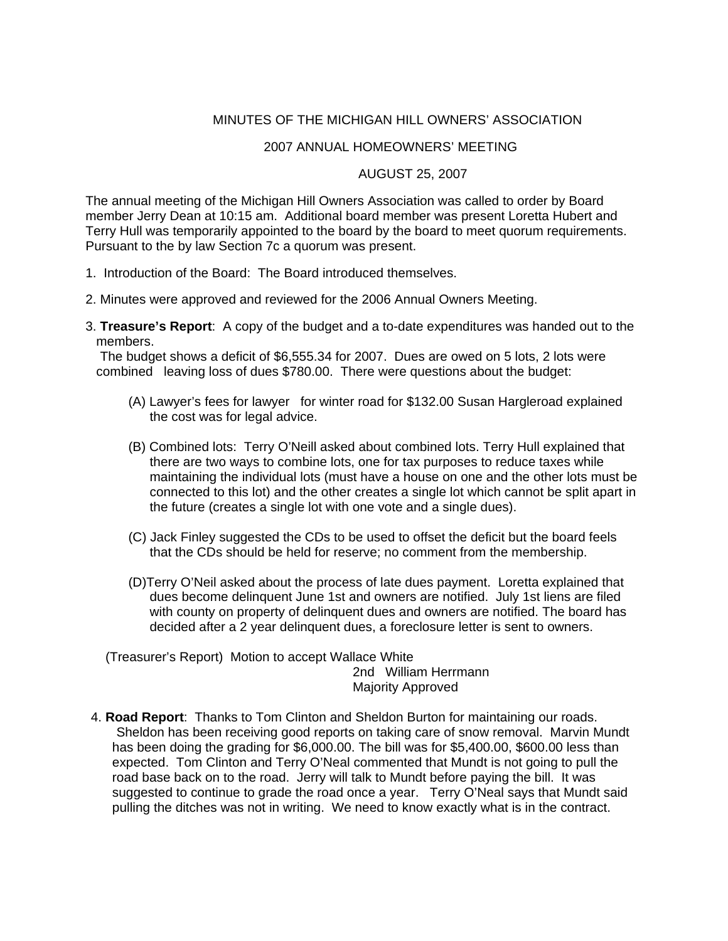## MINUTES OF THE MICHIGAN HILL OWNERS' ASSOCIATION

## 2007 ANNUAL HOMEOWNERS' MEETING

## AUGUST 25, 2007

The annual meeting of the Michigan Hill Owners Association was called to order by Board member Jerry Dean at 10:15 am. Additional board member was present Loretta Hubert and Terry Hull was temporarily appointed to the board by the board to meet quorum requirements. Pursuant to the by law Section 7c a quorum was present.

- 1. Introduction of the Board: The Board introduced themselves.
- 2. Minutes were approved and reviewed for the 2006 Annual Owners Meeting.
- 3. **Treasure's Report**: A copy of the budget and a to-date expenditures was handed out to the members.

 The budget shows a deficit of \$6,555.34 for 2007. Dues are owed on 5 lots, 2 lots were combined leaving loss of dues \$780.00. There were questions about the budget:

- (A) Lawyer's fees for lawyer for winter road for \$132.00 Susan Hargleroad explained the cost was for legal advice.
- (B) Combined lots: Terry O'Neill asked about combined lots. Terry Hull explained that there are two ways to combine lots, one for tax purposes to reduce taxes while maintaining the individual lots (must have a house on one and the other lots must be connected to this lot) and the other creates a single lot which cannot be split apart in the future (creates a single lot with one vote and a single dues).
- (C) Jack Finley suggested the CDs to be used to offset the deficit but the board feels that the CDs should be held for reserve; no comment from the membership.
- (D)Terry O'Neil asked about the process of late dues payment. Loretta explained that dues become delinquent June 1st and owners are notified. July 1st liens are filed with county on property of delinquent dues and owners are notified. The board has decided after a 2 year delinquent dues, a foreclosure letter is sent to owners.

 (Treasurer's Report) Motion to accept Wallace White 2nd William Herrmann Majority Approved

4. **Road Report**: Thanks to Tom Clinton and Sheldon Burton for maintaining our roads. Sheldon has been receiving good reports on taking care of snow removal. Marvin Mundt has been doing the grading for \$6,000.00. The bill was for \$5,400.00, \$600.00 less than expected. Tom Clinton and Terry O'Neal commented that Mundt is not going to pull the road base back on to the road. Jerry will talk to Mundt before paying the bill. It was suggested to continue to grade the road once a year. Terry O'Neal says that Mundt said pulling the ditches was not in writing. We need to know exactly what is in the contract.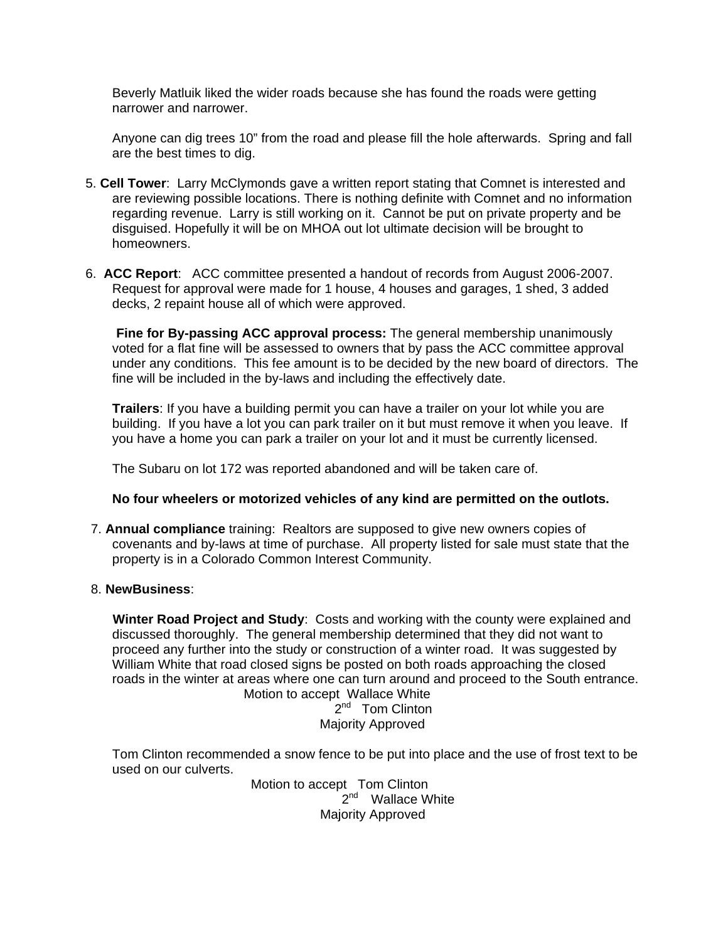Beverly Matluik liked the wider roads because she has found the roads were getting narrower and narrower.

Anyone can dig trees 10" from the road and please fill the hole afterwards. Spring and fall are the best times to dig.

- 5. **Cell Tower**: Larry McClymonds gave a written report stating that Comnet is interested and are reviewing possible locations. There is nothing definite with Comnet and no information regarding revenue. Larry is still working on it. Cannot be put on private property and be disguised. Hopefully it will be on MHOA out lot ultimate decision will be brought to homeowners.
- 6. **ACC Report**: ACC committee presented a handout of records from August 2006-2007. Request for approval were made for 1 house, 4 houses and garages, 1 shed, 3 added decks, 2 repaint house all of which were approved.

 **Fine for By-passing ACC approval process:** The general membership unanimously voted for a flat fine will be assessed to owners that by pass the ACC committee approval under any conditions. This fee amount is to be decided by the new board of directors. The fine will be included in the by-laws and including the effectively date.

**Trailers**: If you have a building permit you can have a trailer on your lot while you are building. If you have a lot you can park trailer on it but must remove it when you leave. If you have a home you can park a trailer on your lot and it must be currently licensed.

The Subaru on lot 172 was reported abandoned and will be taken care of.

## **No four wheelers or motorized vehicles of any kind are permitted on the outlots.**

- 7. **Annual compliance** training: Realtors are supposed to give new owners copies of covenants and by-laws at time of purchase. All property listed for sale must state that the property is in a Colorado Common Interest Community.
- 8. **NewBusiness**:

 **Winter Road Project and Study**: Costs and working with the county were explained and discussed thoroughly. The general membership determined that they did not want to proceed any further into the study or construction of a winter road. It was suggested by William White that road closed signs be posted on both roads approaching the closed roads in the winter at areas where one can turn around and proceed to the South entrance. Motion to accept Wallace White

2<sup>nd</sup> Tom Clinton Majority Approved

 Tom Clinton recommended a snow fence to be put into place and the use of frost text to be used on our culverts.

 Motion to accept Tom Clinton 2<sup>nd</sup> Wallace White Majority Approved